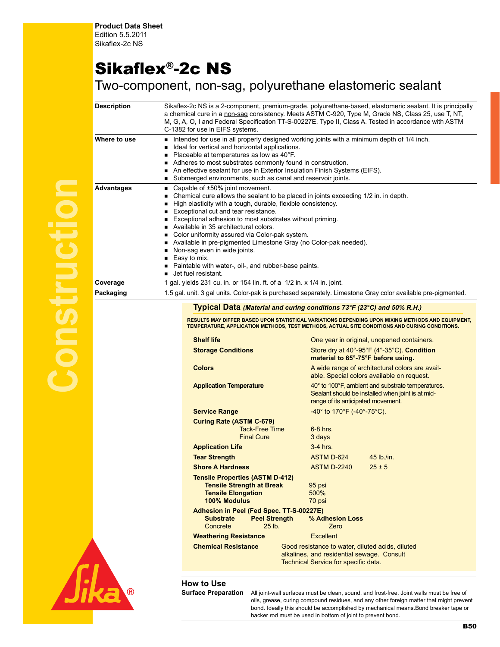## Sikaflex®-2c NS

## Two-component, non-sag, polyurethane elastomeric sealant

| Description  | Sikaflex-2c NS is a 2-component, premium-grade, polyurethane-based, elastomeric sealant. It is principally<br>a chemical cure in a non-sag consistency. Meets ASTM C-920, Type M, Grade NS, Class 25, use T, NT,<br>M, G, A, O, I and Federal Specification TT-S-00227E, Type II, Class A. Tested in accordance with ASTM<br>C-1382 for use in EIFS systems.                                                                                                                                                                                                                                    |
|--------------|-------------------------------------------------------------------------------------------------------------------------------------------------------------------------------------------------------------------------------------------------------------------------------------------------------------------------------------------------------------------------------------------------------------------------------------------------------------------------------------------------------------------------------------------------------------------------------------------------|
| Where to use | Intended for use in all properly designed working joints with a minimum depth of 1/4 inch.<br>Ideal for vertical and horizontal applications.<br>Placeable at temperatures as low as 40°F.<br>Adheres to most substrates commonly found in construction.<br>An effective sealant for use in Exterior Insulation Finish Systems (EIFS).<br>■ Submerged environments, such as canal and reservoir joints.                                                                                                                                                                                         |
| Advantages   | ■ Capable of $±50\%$ joint movement.<br>Chemical cure allows the sealant to be placed in joints exceeding 1/2 in. in depth.<br>High elasticity with a tough, durable, flexible consistency.<br>Exceptional cut and tear resistance.<br>Exceptional adhesion to most substrates without priming.<br>Available in 35 architectural colors.<br>Color uniformity assured via Color-pak system.<br>Available in pre-pigmented Limestone Gray (no Color-pak needed).<br>Non-sag even in wide joints.<br>Easy to mix.<br>Paintable with water-, oil-, and rubber-base paints.<br>■ Jet fuel resistant. |
| Coverage     | 1 gal. yields 231 cu. in. or 154 lin. ft. of a 1/2 in. x 1/4 in. joint.                                                                                                                                                                                                                                                                                                                                                                                                                                                                                                                         |
| Packaging    | 1.5 gal. unit. 3 gal units. Color-pak is purchased separately. Limestone Gray color available pre-pigmented.                                                                                                                                                                                                                                                                                                                                                                                                                                                                                    |
|              | <b>Typical Data (Material and curing conditions 73°F (23°C) and 50% R.H.)</b>                                                                                                                                                                                                                                                                                                                                                                                                                                                                                                                   |

RESULTS MAY DIFFER BASED UPON STATISTICAL VARIATIONS DEPENDING UPON MIXING METHODS AND EQUIPMENT,<br>TEMPERATURE, APPLICATION METHODS, TEST METHODS, ACTUAL SITE CONDITIONS AND CURING CONDITIONS.

| <b>Shelf life</b>                                                                                                       |                                                                                    | One year in original, unopened containers.                                                                                                   |  |  |
|-------------------------------------------------------------------------------------------------------------------------|------------------------------------------------------------------------------------|----------------------------------------------------------------------------------------------------------------------------------------------|--|--|
| <b>Storage Conditions</b>                                                                                               |                                                                                    | Store dry at 40°-95°F (4°-35°C). Condition<br>material to 65°-75°F before using.                                                             |  |  |
| <b>Colors</b>                                                                                                           |                                                                                    | A wide range of architectural colors are avail-<br>able. Special colors available on request.                                                |  |  |
| <b>Application Temperature</b>                                                                                          |                                                                                    | 40° to 100°F, ambient and substrate temperatures.<br>Sealant should be installed when joint is at mid-<br>range of its anticipated movement. |  |  |
| <b>Service Range</b>                                                                                                    |                                                                                    | $-40^{\circ}$ to 170°F (-40°-75°C).                                                                                                          |  |  |
| <b>Curing Rate (ASTM C-679)</b>                                                                                         |                                                                                    |                                                                                                                                              |  |  |
| <b>Tack-Free Time</b>                                                                                                   | $6-8$ hrs.                                                                         |                                                                                                                                              |  |  |
| <b>Final Cure</b>                                                                                                       | 3 days                                                                             |                                                                                                                                              |  |  |
| <b>Application Life</b>                                                                                                 | $3-4$ hrs                                                                          |                                                                                                                                              |  |  |
| <b>Tear Strength</b>                                                                                                    | ASTM D-624                                                                         | $45$ lb /in                                                                                                                                  |  |  |
| <b>Shore A Hardness</b>                                                                                                 | <b>ASTM D-2240</b>                                                                 | $25 + 5$                                                                                                                                     |  |  |
| <b>Tensile Properties (ASTM D-412)</b><br><b>Tensile Strength at Break</b><br><b>Tensile Elongation</b><br>100% Modulus | 95 psi<br>500%<br>70 psi                                                           |                                                                                                                                              |  |  |
| Adhesion in Peel (Fed Spec. TT-S-00227E)<br><b>Substrate</b><br><b>Peel Strength</b>                                    | % Adhesion Loss                                                                    |                                                                                                                                              |  |  |
| $25$ lb.<br>Concrete                                                                                                    | Zero                                                                               |                                                                                                                                              |  |  |
| <b>Weathering Resistance</b>                                                                                            | Excellent                                                                          |                                                                                                                                              |  |  |
| <b>Chemical Resistance</b>                                                                                              | alkalines, and residential sewage. Consult<br>Technical Service for specific data. | Good resistance to water, diluted acids, diluted                                                                                             |  |  |

**How to Use**

All joint-wall surfaces must be clean, sound, and frost-free. Joint walls must be free of oils, grease, curing compound residues, and any other foreign matter that might prevent bond. Ideally this should be accomplished by mechanical means.Bond breaker tape or backer rod must be used in bottom of joint to prevent bond.